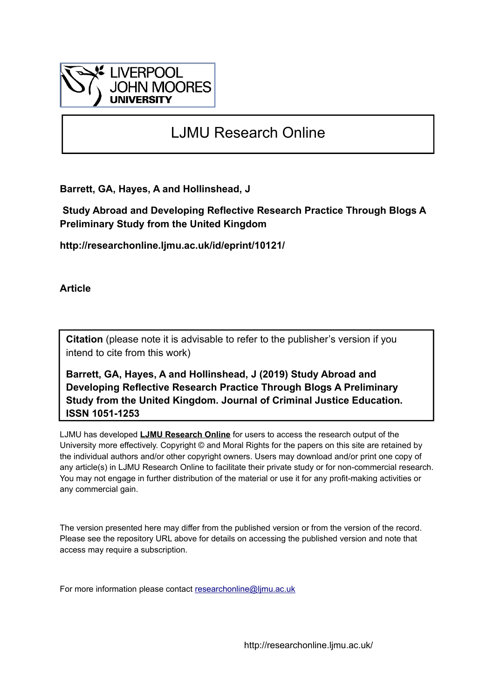

# LJMU Research Online

**Barrett, GA, Hayes, A and Hollinshead, J**

 **Study Abroad and Developing Reflective Research Practice Through Blogs A Preliminary Study from the United Kingdom**

**http://researchonline.ljmu.ac.uk/id/eprint/10121/**

**Article**

**Citation** (please note it is advisable to refer to the publisher's version if you intend to cite from this work)

**Barrett, GA, Hayes, A and Hollinshead, J (2019) Study Abroad and Developing Reflective Research Practice Through Blogs A Preliminary Study from the United Kingdom. Journal of Criminal Justice Education. ISSN 1051-1253** 

LJMU has developed **[LJMU Research Online](http://researchonline.ljmu.ac.uk/)** for users to access the research output of the University more effectively. Copyright © and Moral Rights for the papers on this site are retained by the individual authors and/or other copyright owners. Users may download and/or print one copy of any article(s) in LJMU Research Online to facilitate their private study or for non-commercial research. You may not engage in further distribution of the material or use it for any profit-making activities or any commercial gain.

The version presented here may differ from the published version or from the version of the record. Please see the repository URL above for details on accessing the published version and note that access may require a subscription.

For more information please contact [researchonline@ljmu.ac.uk](mailto:researchonline@ljmu.ac.uk)

http://researchonline.ljmu.ac.uk/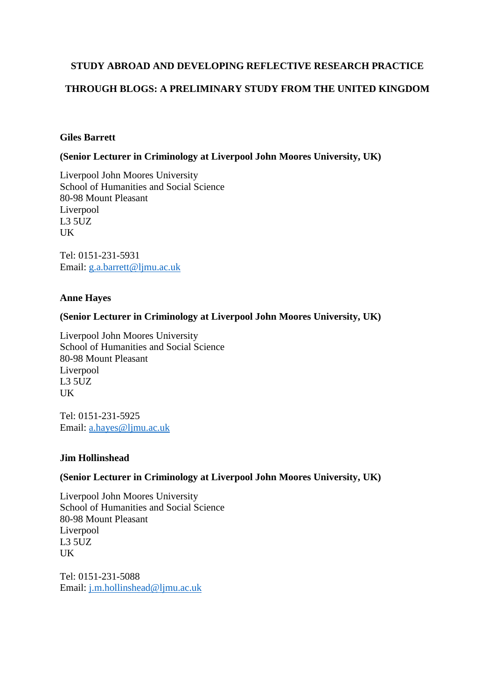# **STUDY ABROAD AND DEVELOPING REFLECTIVE RESEARCH PRACTICE**

# **THROUGH BLOGS: A PRELIMINARY STUDY FROM THE UNITED KINGDOM**

# **Giles Barrett**

# **(Senior Lecturer in Criminology at Liverpool John Moores University, UK)**

Liverpool John Moores University School of Humanities and Social Science 80-98 Mount Pleasant Liverpool L3 5UZ UK

Tel: 0151-231-5931 Email: [g.a.barrett@ljmu.ac.uk](mailto:g.a.barrett@ljmu.ac.uk)

## **Anne Hayes**

# **(Senior Lecturer in Criminology at Liverpool John Moores University, UK)**

Liverpool John Moores University School of Humanities and Social Science 80-98 Mount Pleasant Liverpool L3 5UZ UK

Tel: 0151-231-5925 Email: [a.hayes@ljmu.ac.uk](mailto:a.hayes@ljmu.ac.uk)

#### **Jim Hollinshead**

## **(Senior Lecturer in Criminology at Liverpool John Moores University, UK)**

Liverpool John Moores University School of Humanities and Social Science 80-98 Mount Pleasant Liverpool L3 5UZ UK

Tel: 0151-231-5088 Email: [j.m.hollinshead@ljmu.ac.uk](mailto:j.m.hollinshead@ljmu.ac.uk)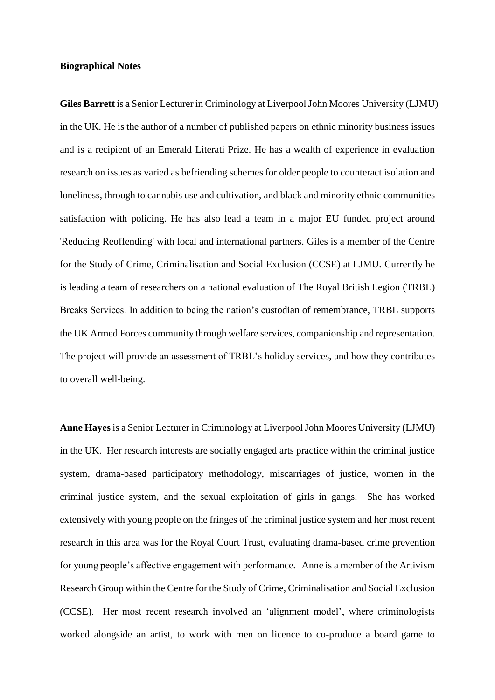#### **Biographical Notes**

**Giles Barrett** is a Senior Lecturer in Criminology at Liverpool John Moores University (LJMU) in the UK. He is the author of a number of published papers on ethnic minority business issues and is a recipient of an Emerald Literati Prize. He has a wealth of experience in evaluation research on issues as varied as befriending schemes for older people to counteract isolation and loneliness, through to cannabis use and cultivation, and black and minority ethnic communities satisfaction with policing. He has also lead a team in a major EU funded project around 'Reducing Reoffending' with local and international partners. Giles is a member of the Centre for the Study of Crime, Criminalisation and Social Exclusion (CCSE) at LJMU. Currently he is leading a team of researchers on a national evaluation of The Royal British Legion (TRBL) Breaks Services. In addition to being the nation's custodian of remembrance, TRBL supports the UK Armed Forces community through welfare services, companionship and representation. The project will provide an assessment of TRBL's holiday services, and how they contributes to overall well-being.

**Anne Hayes** is a Senior Lecturer in Criminology at Liverpool John Moores University (LJMU) in the UK. Her research interests are socially engaged arts practice within the criminal justice system, drama-based participatory methodology, miscarriages of justice, women in the criminal justice system, and the sexual exploitation of girls in gangs. She has worked extensively with young people on the fringes of the criminal justice system and her most recent research in this area was for the Royal Court Trust, evaluating drama-based crime prevention for young people's affective engagement with performance. Anne is a member of the Artivism Research Group within the Centre for the Study of Crime, Criminalisation and Social Exclusion (CCSE). Her most recent research involved an 'alignment model', where criminologists worked alongside an artist, to work with men on licence to co-produce a board game to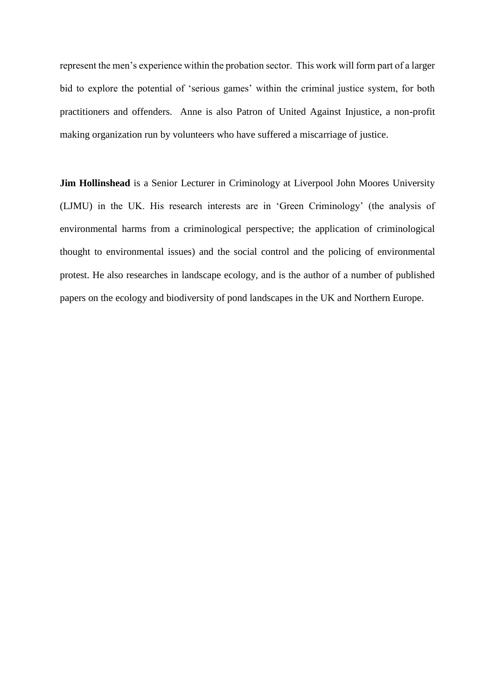represent the men's experience within the probation sector. This work will form part of a larger bid to explore the potential of 'serious games' within the criminal justice system, for both practitioners and offenders. Anne is also Patron of United Against Injustice, a non-profit making organization run by volunteers who have suffered a miscarriage of justice.

**Jim Hollinshead** is a Senior Lecturer in Criminology at Liverpool John Moores University (LJMU) in the UK. His research interests are in 'Green Criminology' (the analysis of environmental harms from a criminological perspective; the application of criminological thought to environmental issues) and the social control and the policing of environmental protest. He also researches in landscape ecology, and is the author of a number of published papers on the ecology and biodiversity of pond landscapes in the UK and Northern Europe.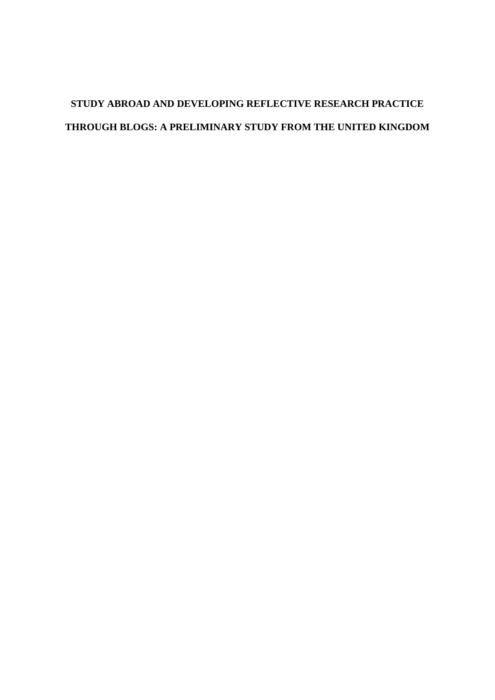# **STUDY ABROAD AND DEVELOPING REFLECTIVE RESEARCH PRACTICE THROUGH BLOGS: A PRELIMINARY STUDY FROM THE UNITED KINGDOM**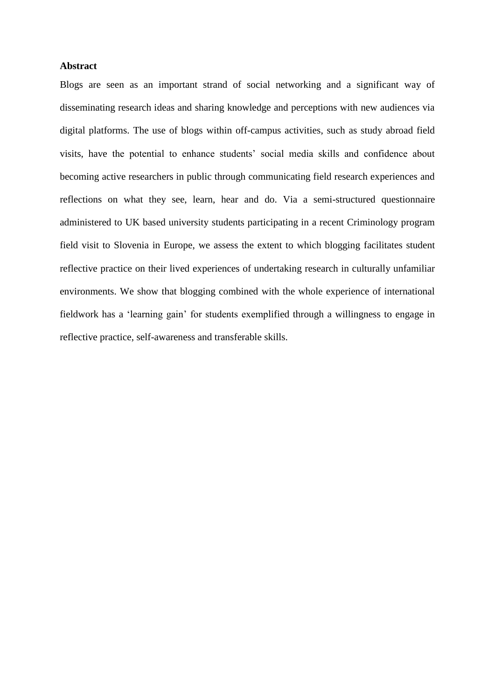#### **Abstract**

Blogs are seen as an important strand of social networking and a significant way of disseminating research ideas and sharing knowledge and perceptions with new audiences via digital platforms. The use of blogs within off-campus activities, such as study abroad field visits, have the potential to enhance students' social media skills and confidence about becoming active researchers in public through communicating field research experiences and reflections on what they see, learn, hear and do. Via a semi-structured questionnaire administered to UK based university students participating in a recent Criminology program field visit to Slovenia in Europe, we assess the extent to which blogging facilitates student reflective practice on their lived experiences of undertaking research in culturally unfamiliar environments. We show that blogging combined with the whole experience of international fieldwork has a 'learning gain' for students exemplified through a willingness to engage in reflective practice, self-awareness and transferable skills.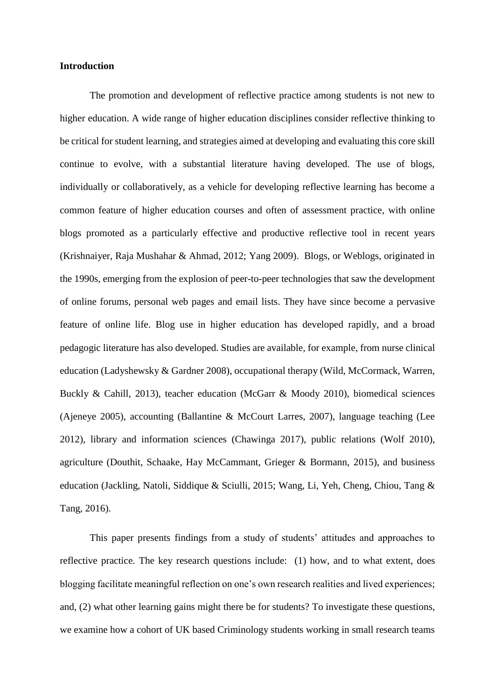#### **Introduction**

The promotion and development of reflective practice among students is not new to higher education. A wide range of higher education disciplines consider reflective thinking to be critical for student learning, and strategies aimed at developing and evaluating this core skill continue to evolve, with a substantial literature having developed. The use of blogs, individually or collaboratively, as a vehicle for developing reflective learning has become a common feature of higher education courses and often of assessment practice, with online blogs promoted as a particularly effective and productive reflective tool in recent years (Krishnaiyer, Raja Mushahar & Ahmad, 2012; Yang 2009). Blogs, or Weblogs, originated in the 1990s, emerging from the explosion of peer-to-peer technologies that saw the development of online forums, personal web pages and email lists. They have since become a pervasive feature of online life. Blog use in higher education has developed rapidly, and a broad pedagogic literature has also developed. Studies are available, for example, from nurse clinical education (Ladyshewsky & Gardner 2008), occupational therapy (Wild, McCormack, Warren, Buckly & Cahill, 2013), teacher education (McGarr & Moody 2010), biomedical sciences (Ajeneye 2005), accounting (Ballantine & McCourt Larres, 2007), language teaching (Lee 2012), library and information sciences (Chawinga 2017), public relations (Wolf 2010), agriculture (Douthit, Schaake, Hay McCammant, Grieger & Bormann, 2015), and business education (Jackling, Natoli, Siddique & Sciulli, 2015; Wang, Li, Yeh, Cheng, Chiou, Tang & Tang, 2016).

This paper presents findings from a study of students' attitudes and approaches to reflective practice. The key research questions include: (1) how, and to what extent, does blogging facilitate meaningful reflection on one's own research realities and lived experiences; and, (2) what other learning gains might there be for students? To investigate these questions, we examine how a cohort of UK based Criminology students working in small research teams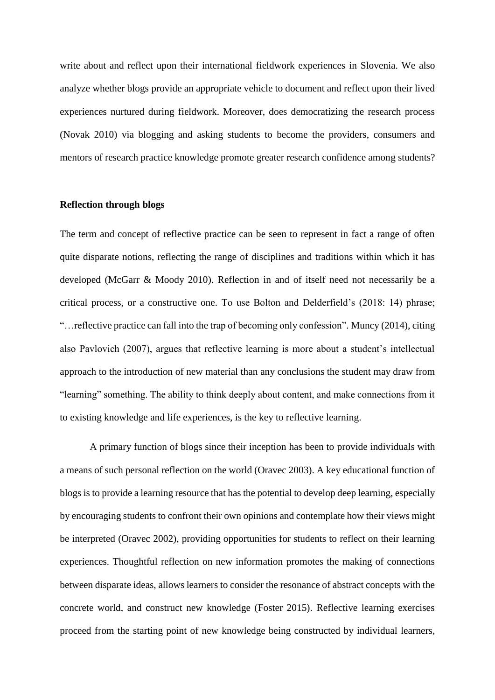write about and reflect upon their international fieldwork experiences in Slovenia. We also analyze whether blogs provide an appropriate vehicle to document and reflect upon their lived experiences nurtured during fieldwork. Moreover, does democratizing the research process (Novak 2010) via blogging and asking students to become the providers, consumers and mentors of research practice knowledge promote greater research confidence among students?

#### **Reflection through blogs**

The term and concept of reflective practice can be seen to represent in fact a range of often quite disparate notions, reflecting the range of disciplines and traditions within which it has developed (McGarr & Moody 2010). Reflection in and of itself need not necessarily be a critical process, or a constructive one. To use Bolton and Delderfield's (2018: 14) phrase; "…reflective practice can fall into the trap of becoming only confession". Muncy (2014), citing also Pavlovich (2007), argues that reflective learning is more about a student's intellectual approach to the introduction of new material than any conclusions the student may draw from "learning" something. The ability to think deeply about content, and make connections from it to existing knowledge and life experiences, is the key to reflective learning.

A primary function of blogs since their inception has been to provide individuals with a means of such personal reflection on the world (Oravec 2003). A key educational function of blogs is to provide a learning resource that has the potential to develop deep learning, especially by encouraging students to confront their own opinions and contemplate how their views might be interpreted (Oravec 2002), providing opportunities for students to reflect on their learning experiences. Thoughtful reflection on new information promotes the making of connections between disparate ideas, allows learners to consider the resonance of abstract concepts with the concrete world, and construct new knowledge (Foster 2015). Reflective learning exercises proceed from the starting point of new knowledge being constructed by individual learners,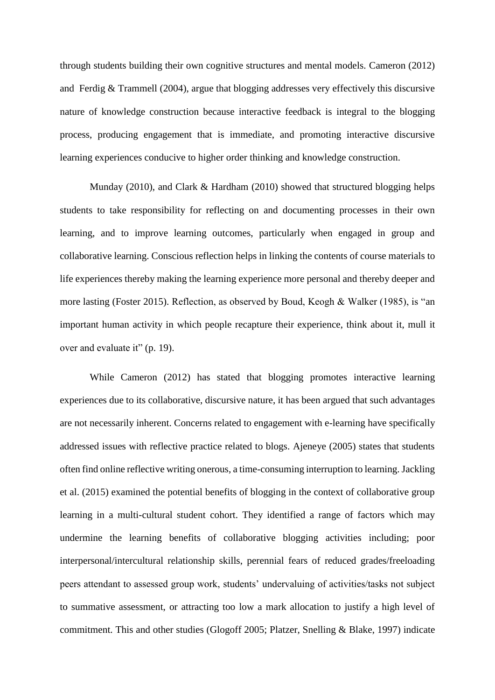through students building their own cognitive structures and mental models. Cameron (2012) and Ferdig & Trammell (2004), argue that blogging addresses very effectively this discursive nature of knowledge construction because interactive feedback is integral to the blogging process, producing engagement that is immediate, and promoting interactive discursive learning experiences conducive to higher order thinking and knowledge construction.

Munday (2010), and Clark & Hardham (2010) showed that structured blogging helps students to take responsibility for reflecting on and documenting processes in their own learning, and to improve learning outcomes, particularly when engaged in group and collaborative learning. Conscious reflection helps in linking the contents of course materials to life experiences thereby making the learning experience more personal and thereby deeper and more lasting (Foster 2015). Reflection, as observed by Boud, Keogh & Walker (1985), is "an important human activity in which people recapture their experience, think about it, mull it over and evaluate it" (p. 19).

While Cameron (2012) has stated that blogging promotes interactive learning experiences due to its collaborative, discursive nature, it has been argued that such advantages are not necessarily inherent. Concerns related to engagement with e-learning have specifically addressed issues with reflective practice related to blogs. Ajeneye (2005) states that students often find online reflective writing onerous, a time-consuming interruption to learning. Jackling et al. (2015) examined the potential benefits of blogging in the context of collaborative group learning in a multi-cultural student cohort. They identified a range of factors which may undermine the learning benefits of collaborative blogging activities including; poor interpersonal/intercultural relationship skills, perennial fears of reduced grades/freeloading peers attendant to assessed group work, students' undervaluing of activities/tasks not subject to summative assessment, or attracting too low a mark allocation to justify a high level of commitment. This and other studies (Glogoff 2005; Platzer, Snelling & Blake, 1997) indicate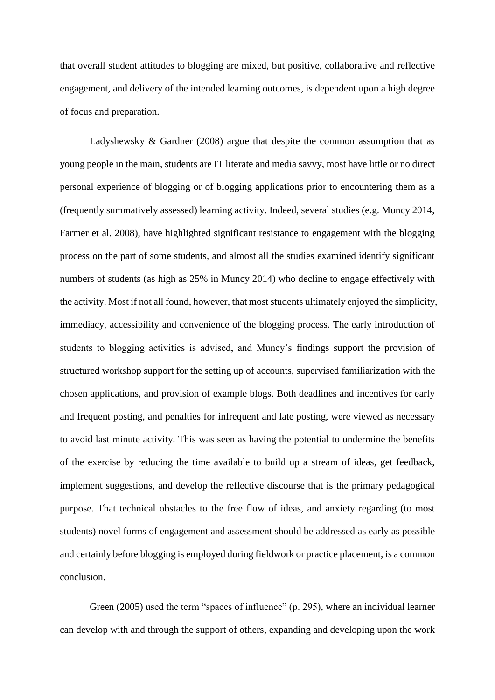that overall student attitudes to blogging are mixed, but positive, collaborative and reflective engagement, and delivery of the intended learning outcomes, is dependent upon a high degree of focus and preparation.

Ladyshewsky & Gardner (2008) argue that despite the common assumption that as young people in the main, students are IT literate and media savvy, most have little or no direct personal experience of blogging or of blogging applications prior to encountering them as a (frequently summatively assessed) learning activity. Indeed, several studies (e.g. Muncy 2014, Farmer et al. 2008), have highlighted significant resistance to engagement with the blogging process on the part of some students, and almost all the studies examined identify significant numbers of students (as high as 25% in Muncy 2014) who decline to engage effectively with the activity. Most if not all found, however, that most students ultimately enjoyed the simplicity, immediacy, accessibility and convenience of the blogging process. The early introduction of students to blogging activities is advised, and Muncy's findings support the provision of structured workshop support for the setting up of accounts, supervised familiarization with the chosen applications, and provision of example blogs. Both deadlines and incentives for early and frequent posting, and penalties for infrequent and late posting, were viewed as necessary to avoid last minute activity. This was seen as having the potential to undermine the benefits of the exercise by reducing the time available to build up a stream of ideas, get feedback, implement suggestions, and develop the reflective discourse that is the primary pedagogical purpose. That technical obstacles to the free flow of ideas, and anxiety regarding (to most students) novel forms of engagement and assessment should be addressed as early as possible and certainly before blogging is employed during fieldwork or practice placement, is a common conclusion.

Green (2005) used the term "spaces of influence" (p. 295), where an individual learner can develop with and through the support of others, expanding and developing upon the work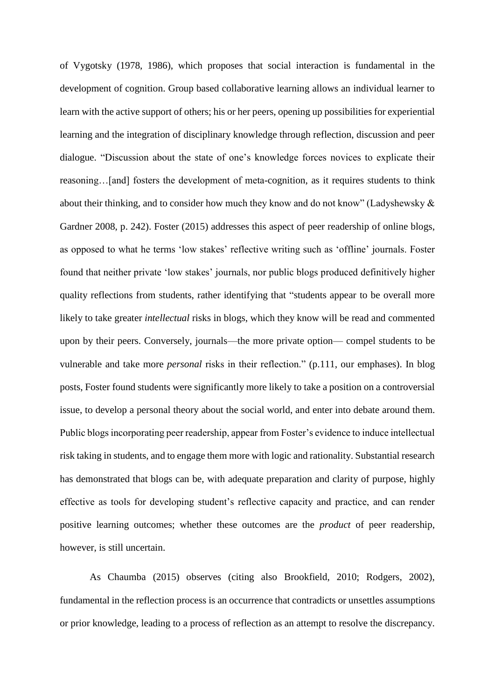of Vygotsky (1978, 1986), which proposes that social interaction is fundamental in the development of cognition. Group based collaborative learning allows an individual learner to learn with the active support of others; his or her peers, opening up possibilities for experiential learning and the integration of disciplinary knowledge through reflection, discussion and peer dialogue. "Discussion about the state of one's knowledge forces novices to explicate their reasoning…[and] fosters the development of meta-cognition, as it requires students to think about their thinking, and to consider how much they know and do not know" (Ladyshewsky & Gardner 2008, p. 242). Foster (2015) addresses this aspect of peer readership of online blogs, as opposed to what he terms 'low stakes' reflective writing such as 'offline' journals. Foster found that neither private 'low stakes' journals, nor public blogs produced definitively higher quality reflections from students, rather identifying that "students appear to be overall more likely to take greater *intellectual* risks in blogs, which they know will be read and commented upon by their peers. Conversely, journals—the more private option— compel students to be vulnerable and take more *personal* risks in their reflection." (p.111, our emphases). In blog posts, Foster found students were significantly more likely to take a position on a controversial issue, to develop a personal theory about the social world, and enter into debate around them. Public blogs incorporating peer readership, appear from Foster's evidence to induce intellectual risk taking in students, and to engage them more with logic and rationality. Substantial research has demonstrated that blogs can be, with adequate preparation and clarity of purpose, highly effective as tools for developing student's reflective capacity and practice, and can render positive learning outcomes; whether these outcomes are the *product* of peer readership, however, is still uncertain.

As Chaumba (2015) observes (citing also Brookfield, 2010; Rodgers, 2002), fundamental in the reflection process is an occurrence that contradicts or unsettles assumptions or prior knowledge, leading to a process of reflection as an attempt to resolve the discrepancy.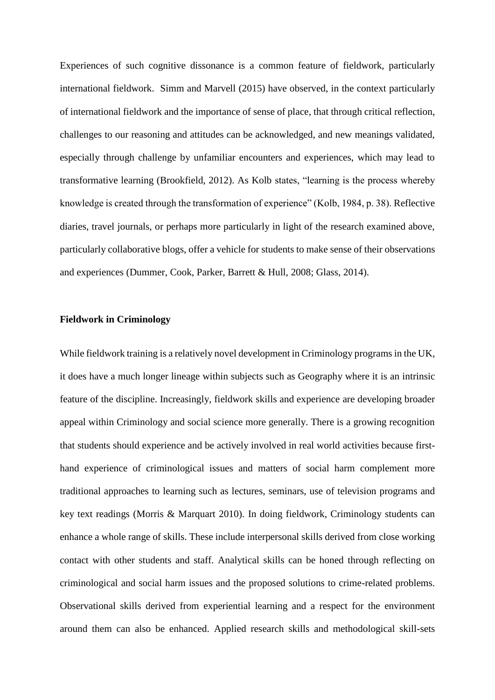Experiences of such cognitive dissonance is a common feature of fieldwork, particularly international fieldwork. Simm and Marvell (2015) have observed, in the context particularly of international fieldwork and the importance of sense of place, that through critical reflection, challenges to our reasoning and attitudes can be acknowledged, and new meanings validated, especially through challenge by unfamiliar encounters and experiences, which may lead to transformative learning (Brookfield, 2012). As Kolb states, "learning is the process whereby knowledge is created through the transformation of experience" (Kolb, 1984, p. 38). Reflective diaries, travel journals, or perhaps more particularly in light of the research examined above, particularly collaborative blogs, offer a vehicle for students to make sense of their observations and experiences (Dummer, Cook, Parker, Barrett & Hull, 2008; Glass, 2014).

## **Fieldwork in Criminology**

While fieldwork training is a relatively novel development in Criminology programs in the UK, it does have a much longer lineage within subjects such as Geography where it is an intrinsic feature of the discipline. Increasingly, fieldwork skills and experience are developing broader appeal within Criminology and social science more generally. There is a growing recognition that students should experience and be actively involved in real world activities because firsthand experience of criminological issues and matters of social harm complement more traditional approaches to learning such as lectures, seminars, use of television programs and key text readings (Morris & Marquart 2010). In doing fieldwork, Criminology students can enhance a whole range of skills. These include interpersonal skills derived from close working contact with other students and staff. Analytical skills can be honed through reflecting on criminological and social harm issues and the proposed solutions to crime-related problems. Observational skills derived from experiential learning and a respect for the environment around them can also be enhanced. Applied research skills and methodological skill-sets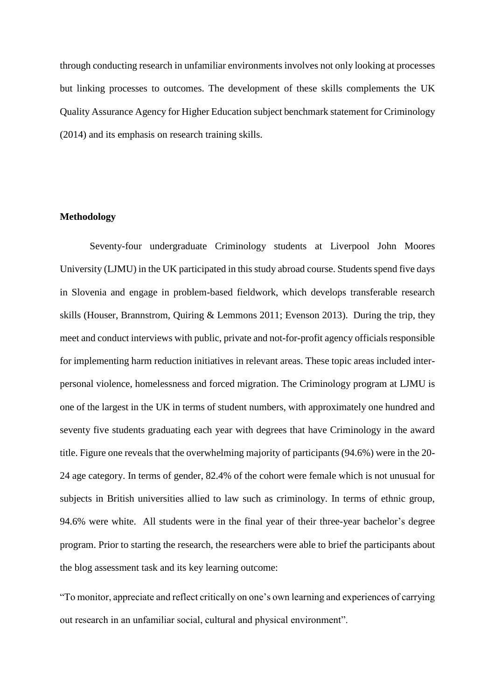through conducting research in unfamiliar environments involves not only looking at processes but linking processes to outcomes. The development of these skills complements the UK Quality Assurance Agency for Higher Education subject benchmark statement for Criminology (2014) and its emphasis on research training skills.

## **Methodology**

Seventy-four undergraduate Criminology students at Liverpool John Moores University (LJMU) in the UK participated in this study abroad course. Students spend five days in Slovenia and engage in problem-based fieldwork, which develops transferable research skills (Houser, Brannstrom, Quiring & Lemmons 2011; Evenson 2013). During the trip, they meet and conduct interviews with public, private and not-for-profit agency officials responsible for implementing harm reduction initiatives in relevant areas. These topic areas included interpersonal violence, homelessness and forced migration. The Criminology program at LJMU is one of the largest in the UK in terms of student numbers, with approximately one hundred and seventy five students graduating each year with degrees that have Criminology in the award title. Figure one reveals that the overwhelming majority of participants (94.6%) were in the 20- 24 age category. In terms of gender, 82.4% of the cohort were female which is not unusual for subjects in British universities allied to law such as criminology. In terms of ethnic group, 94.6% were white. All students were in the final year of their three-year bachelor's degree program. Prior to starting the research, the researchers were able to brief the participants about the blog assessment task and its key learning outcome:

"To monitor, appreciate and reflect critically on one's own learning and experiences of carrying out research in an unfamiliar social, cultural and physical environment".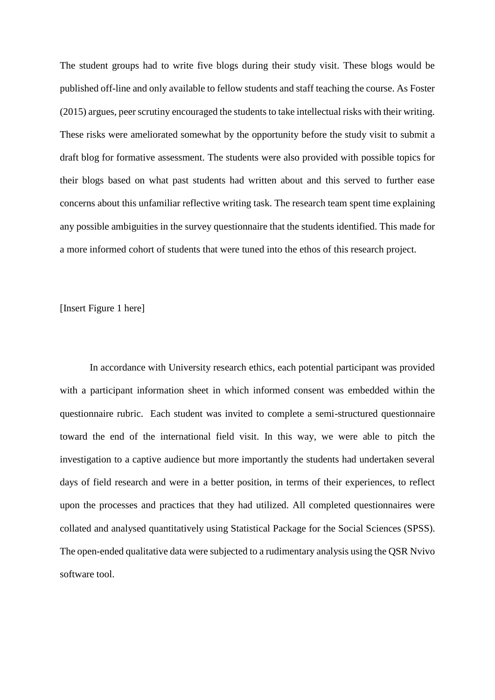The student groups had to write five blogs during their study visit. These blogs would be published off-line and only available to fellow students and staff teaching the course. As Foster (2015) argues, peer scrutiny encouraged the students to take intellectual risks with their writing. These risks were ameliorated somewhat by the opportunity before the study visit to submit a draft blog for formative assessment. The students were also provided with possible topics for their blogs based on what past students had written about and this served to further ease concerns about this unfamiliar reflective writing task. The research team spent time explaining any possible ambiguities in the survey questionnaire that the students identified. This made for a more informed cohort of students that were tuned into the ethos of this research project.

[Insert Figure 1 here]

In accordance with University research ethics, each potential participant was provided with a participant information sheet in which informed consent was embedded within the questionnaire rubric. Each student was invited to complete a semi-structured questionnaire toward the end of the international field visit. In this way, we were able to pitch the investigation to a captive audience but more importantly the students had undertaken several days of field research and were in a better position, in terms of their experiences, to reflect upon the processes and practices that they had utilized. All completed questionnaires were collated and analysed quantitatively using Statistical Package for the Social Sciences (SPSS). The open-ended qualitative data were subjected to a rudimentary analysis using the QSR Nvivo software tool.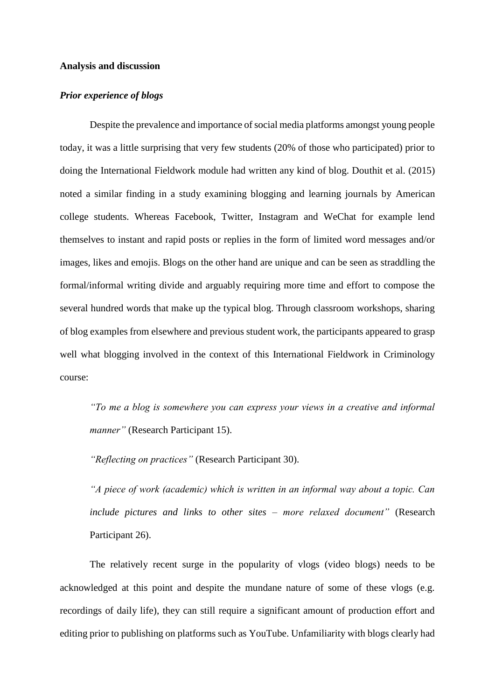#### **Analysis and discussion**

# *Prior experience of blogs*

Despite the prevalence and importance of social media platforms amongst young people today, it was a little surprising that very few students (20% of those who participated) prior to doing the International Fieldwork module had written any kind of blog. Douthit et al. (2015) noted a similar finding in a study examining blogging and learning journals by American college students. Whereas Facebook, Twitter, Instagram and WeChat for example lend themselves to instant and rapid posts or replies in the form of limited word messages and/or images, likes and emojis. Blogs on the other hand are unique and can be seen as straddling the formal/informal writing divide and arguably requiring more time and effort to compose the several hundred words that make up the typical blog. Through classroom workshops, sharing of blog examples from elsewhere and previous student work, the participants appeared to grasp well what blogging involved in the context of this International Fieldwork in Criminology course:

*"To me a blog is somewhere you can express your views in a creative and informal manner"* (Research Participant 15).

*"Reflecting on practices"* (Research Participant 30).

*"A piece of work (academic) which is written in an informal way about a topic. Can include pictures and links to other sites – more relaxed document"* (Research Participant 26).

The relatively recent surge in the popularity of vlogs (video blogs) needs to be acknowledged at this point and despite the mundane nature of some of these vlogs (e.g. recordings of daily life), they can still require a significant amount of production effort and editing prior to publishing on platforms such as YouTube. Unfamiliarity with blogs clearly had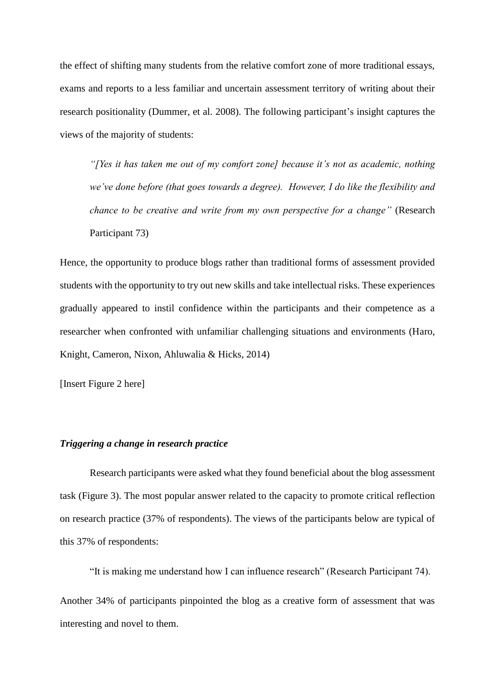the effect of shifting many students from the relative comfort zone of more traditional essays, exams and reports to a less familiar and uncertain assessment territory of writing about their research positionality (Dummer, et al. 2008). The following participant's insight captures the views of the majority of students:

*"[Yes it has taken me out of my comfort zone] because it's not as academic, nothing we've done before (that goes towards a degree). However, I do like the flexibility and chance to be creative and write from my own perspective for a change"* (Research Participant 73)

Hence, the opportunity to produce blogs rather than traditional forms of assessment provided students with the opportunity to try out new skills and take intellectual risks. These experiences gradually appeared to instil confidence within the participants and their competence as a researcher when confronted with unfamiliar challenging situations and environments (Haro, Knight, Cameron, Nixon, Ahluwalia & Hicks, 2014)

[Insert Figure 2 here]

## *Triggering a change in research practice*

Research participants were asked what they found beneficial about the blog assessment task (Figure 3). The most popular answer related to the capacity to promote critical reflection on research practice (37% of respondents). The views of the participants below are typical of this 37% of respondents:

"It is making me understand how I can influence research" (Research Participant 74).

Another 34% of participants pinpointed the blog as a creative form of assessment that was interesting and novel to them.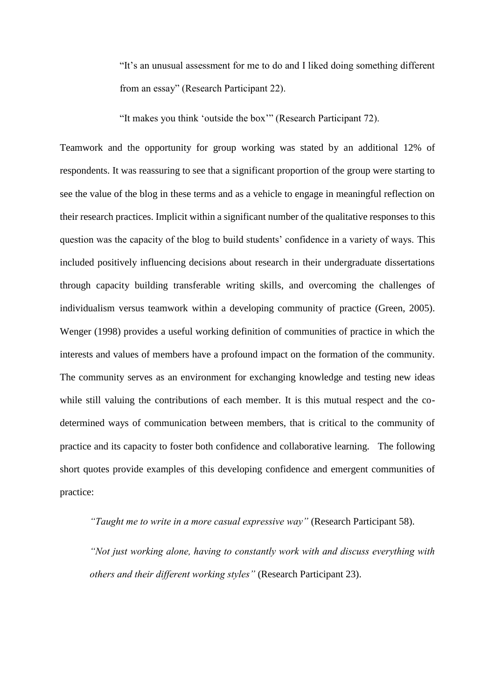"It's an unusual assessment for me to do and I liked doing something different from an essay" (Research Participant 22).

"It makes you think 'outside the box'" (Research Participant 72).

Teamwork and the opportunity for group working was stated by an additional 12% of respondents. It was reassuring to see that a significant proportion of the group were starting to see the value of the blog in these terms and as a vehicle to engage in meaningful reflection on their research practices. Implicit within a significant number of the qualitative responses to this question was the capacity of the blog to build students' confidence in a variety of ways. This included positively influencing decisions about research in their undergraduate dissertations through capacity building transferable writing skills, and overcoming the challenges of individualism versus teamwork within a developing community of practice (Green, 2005). Wenger (1998) provides a useful working definition of communities of practice in which the interests and values of members have a profound impact on the formation of the community. The community serves as an environment for exchanging knowledge and testing new ideas while still valuing the contributions of each member. It is this mutual respect and the codetermined ways of communication between members, that is critical to the community of practice and its capacity to foster both confidence and collaborative learning. The following short quotes provide examples of this developing confidence and emergent communities of practice:

*"Taught me to write in a more casual expressive way"* (Research Participant 58).

*"Not just working alone, having to constantly work with and discuss everything with others and their different working styles"* (Research Participant 23).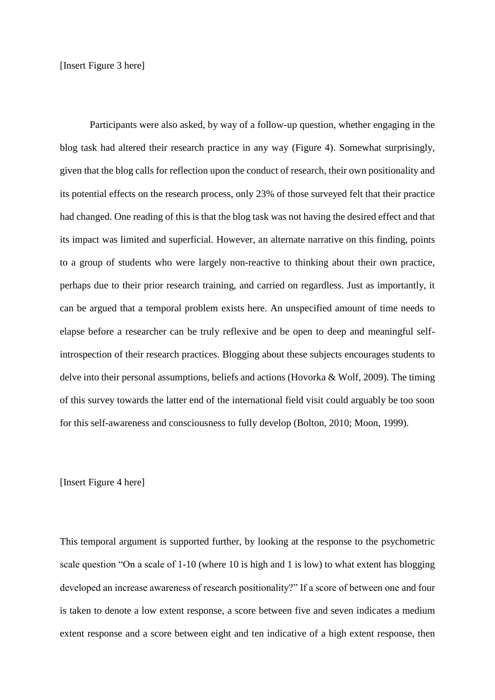[Insert Figure 3 here]

Participants were also asked, by way of a follow-up question, whether engaging in the blog task had altered their research practice in any way (Figure 4). Somewhat surprisingly, given that the blog calls for reflection upon the conduct of research, their own positionality and its potential effects on the research process, only 23% of those surveyed felt that their practice had changed. One reading of this is that the blog task was not having the desired effect and that its impact was limited and superficial. However, an alternate narrative on this finding, points to a group of students who were largely non-reactive to thinking about their own practice, perhaps due to their prior research training, and carried on regardless. Just as importantly, it can be argued that a temporal problem exists here. An unspecified amount of time needs to elapse before a researcher can be truly reflexive and be open to deep and meaningful selfintrospection of their research practices. Blogging about these subjects encourages students to delve into their personal assumptions, beliefs and actions (Hovorka & Wolf, 2009). The timing of this survey towards the latter end of the international field visit could arguably be too soon for this self-awareness and consciousness to fully develop (Bolton, 2010; Moon, 1999).

#### [Insert Figure 4 here]

This temporal argument is supported further, by looking at the response to the psychometric scale question "On a scale of 1-10 (where 10 is high and 1 is low) to what extent has blogging developed an increase awareness of research positionality?" If a score of between one and four is taken to denote a low extent response, a score between five and seven indicates a medium extent response and a score between eight and ten indicative of a high extent response, then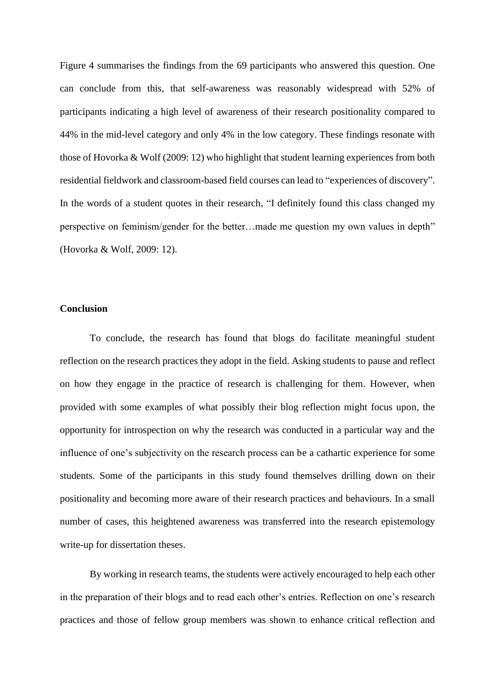Figure 4 summarises the findings from the 69 participants who answered this question. One can conclude from this, that self-awareness was reasonably widespread with 52% of participants indicating a high level of awareness of their research positionality compared to 44% in the mid-level category and only 4% in the low category. These findings resonate with those of Hovorka & Wolf (2009: 12) who highlight that student learning experiences from both residential fieldwork and classroom-based field courses can lead to "experiences of discovery". In the words of a student quotes in their research, "I definitely found this class changed my perspective on feminism/gender for the better…made me question my own values in depth" (Hovorka & Wolf, 2009: 12).

#### **Conclusion**

To conclude, the research has found that blogs do facilitate meaningful student reflection on the research practices they adopt in the field. Asking students to pause and reflect on how they engage in the practice of research is challenging for them. However, when provided with some examples of what possibly their blog reflection might focus upon, the opportunity for introspection on why the research was conducted in a particular way and the influence of one's subjectivity on the research process can be a cathartic experience for some students. Some of the participants in this study found themselves drilling down on their positionality and becoming more aware of their research practices and behaviours. In a small number of cases, this heightened awareness was transferred into the research epistemology write-up for dissertation theses.

By working in research teams, the students were actively encouraged to help each other in the preparation of their blogs and to read each other's entries. Reflection on one's research practices and those of fellow group members was shown to enhance critical reflection and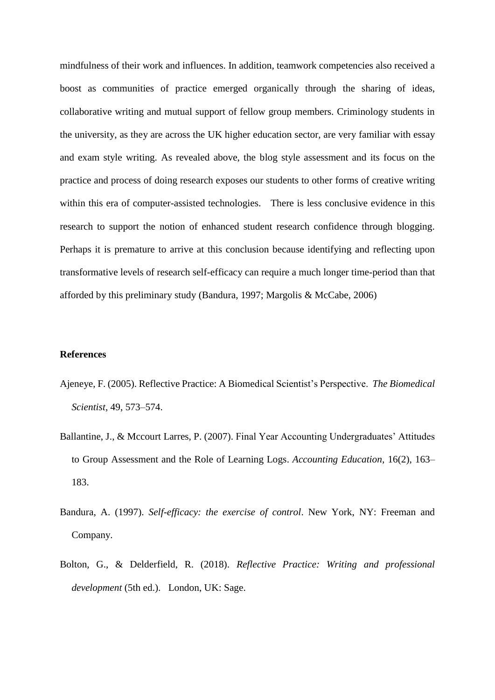mindfulness of their work and influences. In addition, teamwork competencies also received a boost as communities of practice emerged organically through the sharing of ideas, collaborative writing and mutual support of fellow group members. Criminology students in the university, as they are across the UK higher education sector, are very familiar with essay and exam style writing. As revealed above, the blog style assessment and its focus on the practice and process of doing research exposes our students to other forms of creative writing within this era of computer-assisted technologies. There is less conclusive evidence in this research to support the notion of enhanced student research confidence through blogging. Perhaps it is premature to arrive at this conclusion because identifying and reflecting upon transformative levels of research self-efficacy can require a much longer time-period than that afforded by this preliminary study (Bandura, 1997; Margolis & McCabe, 2006)

#### **References**

- Ajeneye, F. (2005). Reflective Practice: A Biomedical Scientist's Perspective. *The Biomedical Scientist,* 49, 573–574.
- Ballantine, J., & Mccourt Larres, P. (2007). Final Year Accounting Undergraduates' Attitudes to Group Assessment and the Role of Learning Logs. *Accounting Education,* 16(2), 163– 183.
- Bandura, A. (1997). *Self-efficacy: the exercise of control*. New York, NY: Freeman and Company.
- Bolton, G., & Delderfield, R. (2018). *Reflective Practice: Writing and professional development* (5th ed.). London, UK: Sage.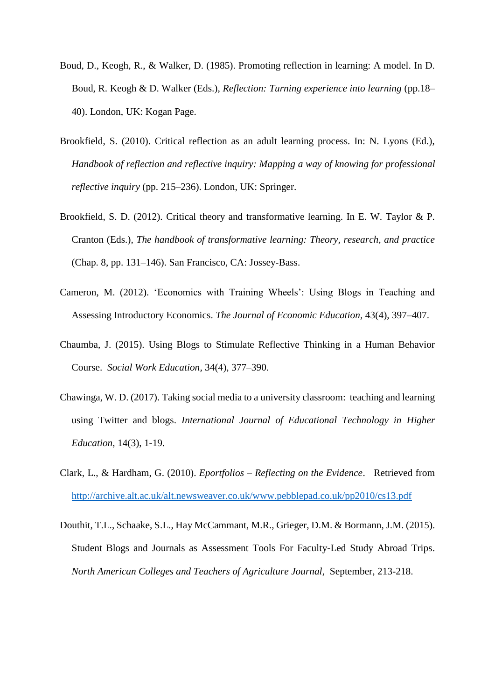- Boud, D., Keogh, R., & Walker, D. (1985). Promoting reflection in learning: A model. In D. Boud, R. Keogh & D. Walker (Eds.), *Reflection: Turning experience into learning* (pp.18– 40). London, UK: Kogan Page.
- Brookfield, S. (2010). Critical reflection as an adult learning process. In: N. Lyons (Ed.), *Handbook of reflection and reflective inquiry: Mapping a way of knowing for professional reflective inquiry* (pp. 215–236). London, UK: Springer.
- Brookfield, S. D. (2012). Critical theory and transformative learning. In E. W. Taylor & P. Cranton (Eds.), *The handbook of transformative learning: Theory, research, and practice* (Chap. 8, pp. 131–146). San Francisco, CA: Jossey-Bass.
- Cameron, M. (2012). 'Economics with Training Wheels': Using Blogs in Teaching and Assessing Introductory Economics. *The Journal of Economic Education,* 43(4), 397–407.
- Chaumba, J. (2015). Using Blogs to Stimulate Reflective Thinking in a Human Behavior Course. *Social Work Education,* 34(4), 377–390.
- Chawinga, W. D. (2017). Taking social media to a university classroom: teaching and learning using Twitter and blogs. *International Journal of Educational Technology in Higher Education,* 14(3), 1-19.
- Clark, L., & Hardham, G. (2010). *Eportfolios – Reflecting on the Evidence*. Retrieved from <http://archive.alt.ac.uk/alt.newsweaver.co.uk/www.pebblepad.co.uk/pp2010/cs13.pdf>
- Douthit, T.L., Schaake, S.L., Hay McCammant, M.R., Grieger, D.M. & Bormann, J.M. (2015). Student Blogs and Journals as Assessment Tools For Faculty-Led Study Abroad Trips. *North American Colleges and Teachers of Agriculture Journal*, September, 213-218.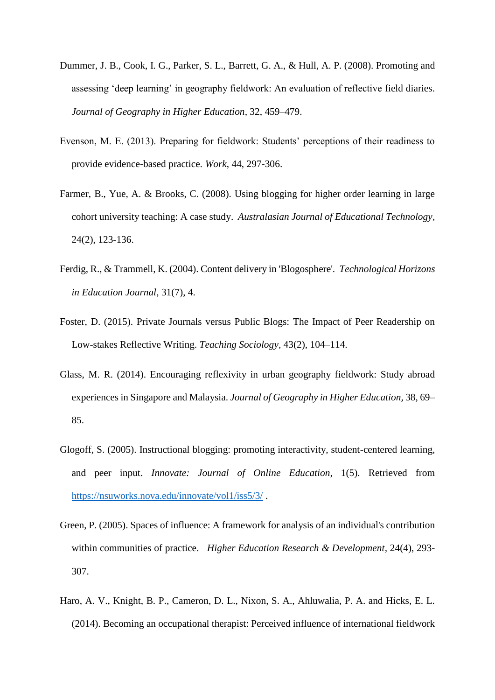- Dummer, J. B., Cook, I. G., Parker, S. L., Barrett, G. A., & Hull, A. P. (2008). Promoting and assessing 'deep learning' in geography fieldwork: An evaluation of reflective field diaries. *Journal of Geography in Higher Education,* 32, 459–479.
- Evenson, M. E. (2013). Preparing for fieldwork: Students' perceptions of their readiness to provide evidence-based practice. *Work*, 44, 297-306.
- Farmer, B., Yue, A. & Brooks, C. (2008). Using blogging for higher order learning in large cohort university teaching: A case study. *Australasian Journal of Educational Technology,* 24(2), 123-136.
- Ferdig, R., & Trammell, K. (2004). Content delivery in 'Blogosphere'. *Technological Horizons in Education Journal,* 31(7), 4.
- Foster, D. (2015). Private Journals versus Public Blogs: The Impact of Peer Readership on Low-stakes Reflective Writing. *Teaching Sociology,* 43(2), 104–114.
- Glass, M. R. (2014). Encouraging reflexivity in urban geography fieldwork: Study abroad experiences in Singapore and Malaysia. *Journal of Geography in Higher Education,* 38, 69– 85.
- Glogoff, S. (2005). Instructional blogging: promoting interactivity, student-centered learning, and peer input. *Innovate: Journal of Online Education,* 1(5). Retrieved from <https://nsuworks.nova.edu/innovate/vol1/iss5/3/> .
- Green, P. (2005). Spaces of influence: A framework for analysis of an individual's contribution within communities of practice. *Higher Education Research & Development,* 24(4), 293- 307.
- Haro, A. V., Knight, B. P., Cameron, D. L., Nixon, S. A., Ahluwalia, P. A. and Hicks, E. L. (2014). Becoming an occupational therapist: Perceived influence of international fieldwork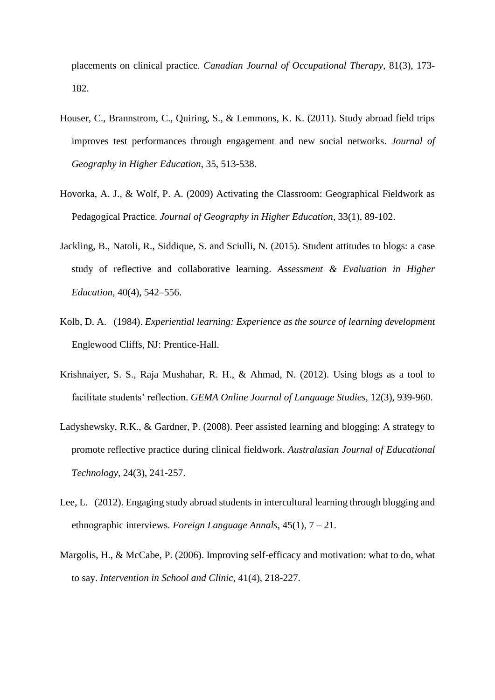placements on clinical practice. *Canadian Journal of Occupational Therapy*, 81(3), 173- 182.

- Houser, C., Brannstrom, C., Quiring, S., & Lemmons, K. K. (2011). Study abroad field trips improves test performances through engagement and new social networks. *Journal of Geography in Higher Education*, 35, 513-538.
- Hovorka, A. J., & Wolf, P. A. (2009) Activating the Classroom: Geographical Fieldwork as Pedagogical Practice. *Journal of Geography in Higher Education*, 33(1), 89-102.
- Jackling, B., Natoli, R., Siddique, S. and Sciulli, N. (2015). Student attitudes to blogs: a case study of reflective and collaborative learning. *Assessment & Evaluation in Higher Education*, 40(4), 542–556.
- Kolb, D. A. (1984). *Experiential learning: Experience as the source of learning development* Englewood Cliffs, NJ: Prentice-Hall.
- Krishnaiyer, S. S., Raja Mushahar, R. H., & Ahmad, N. (2012). Using blogs as a tool to facilitate students' reflection. *GEMA Online Journal of Language Studies*, 12(3), 939-960.
- Ladyshewsky, R.K., & Gardner, P. (2008). Peer assisted learning and blogging: A strategy to promote reflective practice during clinical fieldwork. *Australasian Journal of Educational Technology,* 24(3), 241-257.
- Lee, L. (2012). Engaging study abroad students in intercultural learning through blogging and ethnographic interviews. *Foreign Language Annals*, 45(1), 7 – 21.
- Margolis, H., & McCabe, P. (2006). Improving self-efficacy and motivation: what to do, what to say. *Intervention in School and Clinic*, 41(4), 218-227.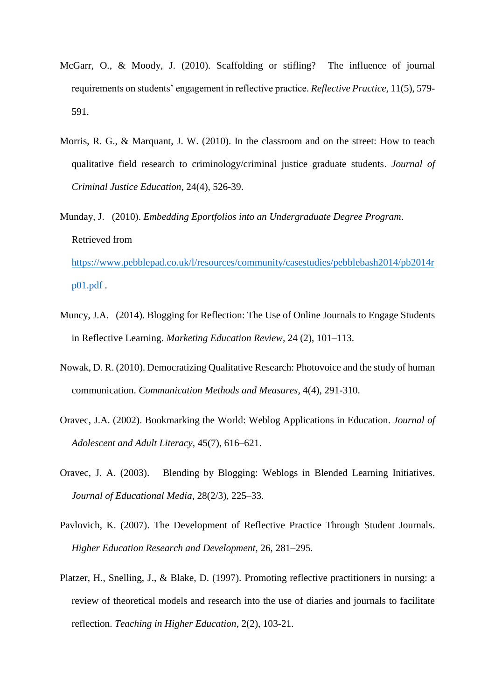- McGarr, O., & Moody, J. (2010). Scaffolding or stifling? The influence of journal requirements on students' engagement in reflective practice. *Reflective Practice,* 11(5), 579- 591.
- Morris, R. G., & Marquant, J. W. (2010). In the classroom and on the street: How to teach qualitative field research to criminology/criminal justice graduate students. *Journal of Criminal Justice Education,* 24(4), 526-39.
- Munday, J. (2010). *Embedding Eportfolios into an Undergraduate Degree Program*. Retrieved from

[https://www.pebblepad.co.uk/l/resources/community/casestudies/pebblebash2014/pb2014r](https://www.pebblepad.co.uk/l/resources/community/casestudies/pebblebash2014/pb2014rp01.pdf) [p01.pdf](https://www.pebblepad.co.uk/l/resources/community/casestudies/pebblebash2014/pb2014rp01.pdf) .

- Muncy, J.A. (2014). Blogging for Reflection: The Use of Online Journals to Engage Students in Reflective Learning. *Marketing Education Review,* 24 (2), 101–113.
- Nowak, D. R. (2010). Democratizing Qualitative Research: Photovoice and the study of human communication. *Communication Methods and Measures,* 4(4), 291-310.
- Oravec, J.A. (2002). Bookmarking the World: Weblog Applications in Education. *Journal of Adolescent and Adult Literacy,* 45(7), 616–621.
- Oravec, J. A. (2003). Blending by Blogging: Weblogs in Blended Learning Initiatives. *Journal of Educational Media*, 28(2/3), 225–33.
- Pavlovich, K. (2007). The Development of Reflective Practice Through Student Journals. *Higher Education Research and Development*, 26, 281–295.
- Platzer, H., Snelling, J., & Blake, D. (1997). Promoting reflective practitioners in nursing: a review of theoretical models and research into the use of diaries and journals to facilitate reflection. *Teaching in Higher Education*, 2(2), 103-21.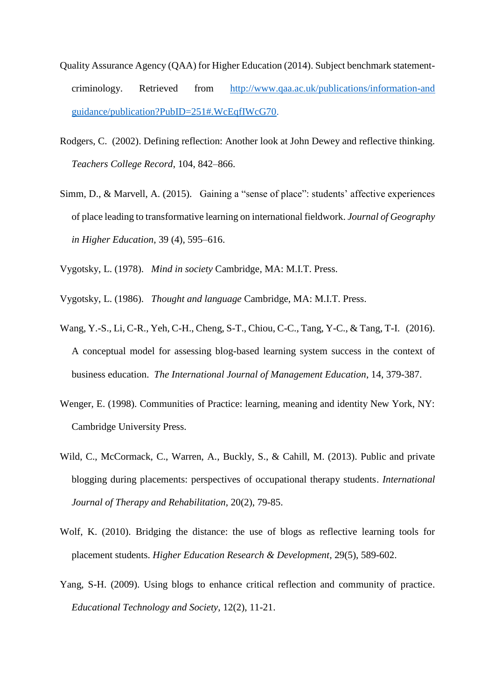- Quality Assurance Agency (QAA) for Higher Education (2014). Subject benchmark statementcriminology. Retrieved from [http://www.qaa.ac.uk/publications/information-and](http://www.qaa.ac.uk/publications/information-and%20guidance/publication?PubID=251#.WcEqfIWcG70)  [guidance/publication?PubID=251#.WcEqfIWcG70.](http://www.qaa.ac.uk/publications/information-and%20guidance/publication?PubID=251#.WcEqfIWcG70)
- Rodgers, C. (2002). Defining reflection: Another look at John Dewey and reflective thinking. *Teachers College Record*, 104, 842–866.
- Simm, D., & Marvell, A. (2015). Gaining a "sense of place": students' affective experiences of place leading to transformative learning on international fieldwork. *Journal of Geography in Higher Education*, 39 (4), 595–616.
- Vygotsky, L. (1978). *Mind in society* Cambridge, MA: M.I.T. Press.
- Vygotsky, L. (1986). *Thought and language* Cambridge, MA: M.I.T. Press.
- Wang, Y.-S., Li, C-R., Yeh, C-H., Cheng, S-T., Chiou, C-C., Tang, Y-C., & Tang, T-I. (2016). A conceptual model for assessing blog-based learning system success in the context of business education. *The International Journal of Management Education*, 14, 379-387.
- Wenger, E. (1998). Communities of Practice: learning, meaning and identity New York, NY: Cambridge University Press.
- Wild, C., McCormack, C., Warren, A., Buckly, S., & Cahill, M. (2013). Public and private blogging during placements: perspectives of occupational therapy students. *International Journal of Therapy and Rehabilitation*, 20(2), 79-85.
- Wolf, K. (2010). Bridging the distance: the use of blogs as reflective learning tools for placement students. *Higher Education Research & Development,* 29(5), 589-602.
- Yang, S-H. (2009). Using blogs to enhance critical reflection and community of practice. *Educational Technology and Society*, 12(2), 11-21.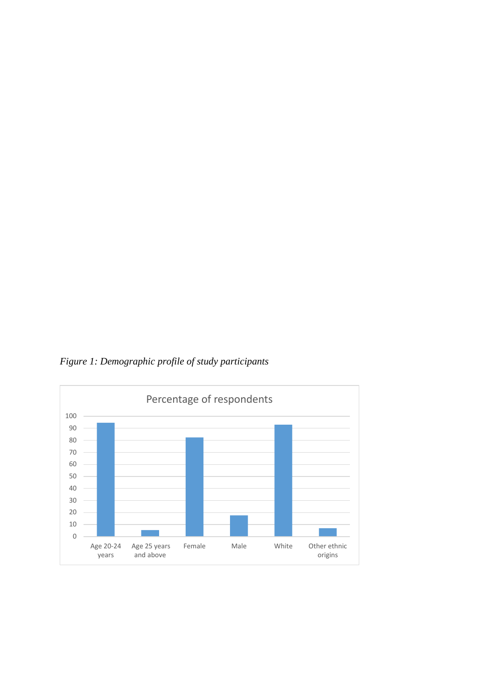*Figure 1: Demographic profile of study participants*

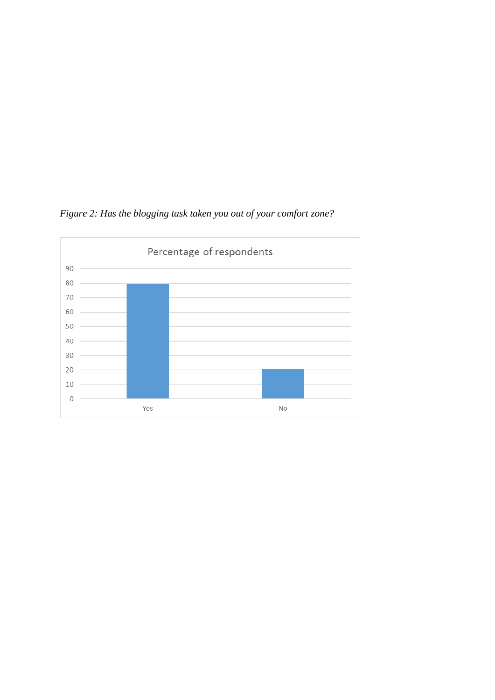

*Figure 2: Has the blogging task taken you out of your comfort zone?*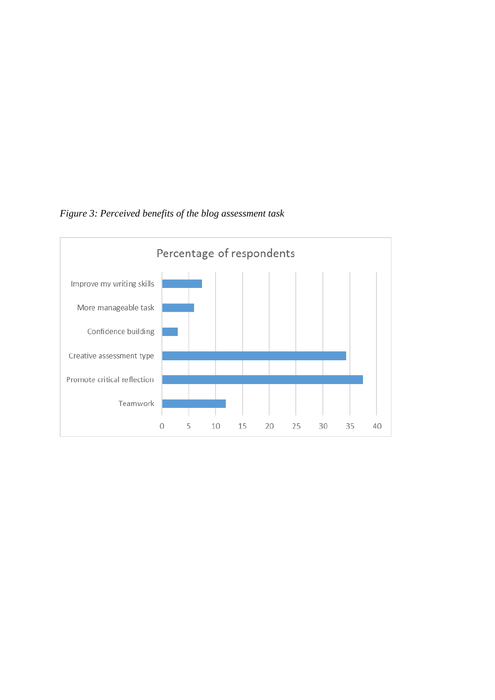

*Figure 3: Perceived benefits of the blog assessment task*